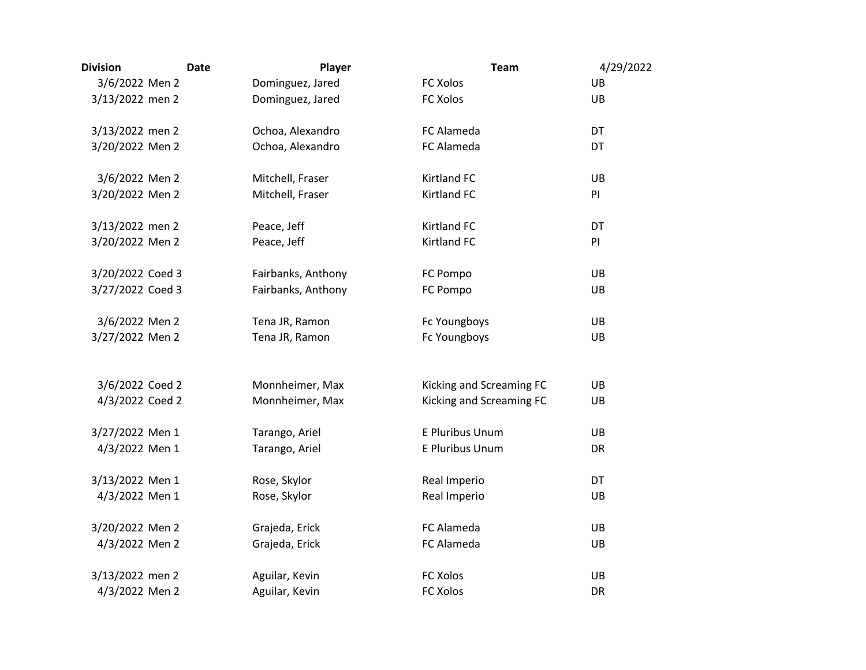| <b>Division</b>  | <b>Date</b> | Player             | <b>Team</b>              | 4/29/2022 |
|------------------|-------------|--------------------|--------------------------|-----------|
| 3/6/2022 Men 2   |             | Dominguez, Jared   | <b>FC Xolos</b>          | UB        |
| 3/13/2022 men 2  |             | Dominguez, Jared   | FC Xolos                 | UB        |
| 3/13/2022 men 2  |             | Ochoa, Alexandro   | FC Alameda               | DT        |
| 3/20/2022 Men 2  |             | Ochoa, Alexandro   | FC Alameda               | DT        |
| 3/6/2022 Men 2   |             | Mitchell, Fraser   | <b>Kirtland FC</b>       | UB        |
| 3/20/2022 Men 2  |             | Mitchell, Fraser   | <b>Kirtland FC</b>       | PI        |
| 3/13/2022 men 2  |             | Peace, Jeff        | <b>Kirtland FC</b>       | DT        |
| 3/20/2022 Men 2  |             | Peace, Jeff        | <b>Kirtland FC</b>       | PI        |
| 3/20/2022 Coed 3 |             | Fairbanks, Anthony | FC Pompo                 | UB        |
| 3/27/2022 Coed 3 |             | Fairbanks, Anthony | FC Pompo                 | UB        |
| 3/6/2022 Men 2   |             | Tena JR, Ramon     | Fc Youngboys             | UB        |
| 3/27/2022 Men 2  |             | Tena JR, Ramon     | Fc Youngboys             | UB        |
| 3/6/2022 Coed 2  |             | Monnheimer, Max    | Kicking and Screaming FC | UB        |
| 4/3/2022 Coed 2  |             | Monnheimer, Max    | Kicking and Screaming FC | UB        |
| 3/27/2022 Men 1  |             | Tarango, Ariel     | E Pluribus Unum          | UB        |
| 4/3/2022 Men 1   |             | Tarango, Ariel     | E Pluribus Unum          | DR        |
| 3/13/2022 Men 1  |             | Rose, Skylor       | Real Imperio             | DT        |
| 4/3/2022 Men 1   |             | Rose, Skylor       | Real Imperio             | UB        |
| 3/20/2022 Men 2  |             | Grajeda, Erick     | FC Alameda               | UB        |
| 4/3/2022 Men 2   |             | Grajeda, Erick     | FC Alameda               | UB        |
| 3/13/2022 men 2  |             | Aguilar, Kevin     | <b>FC Xolos</b>          | UB        |
| 4/3/2022 Men 2   |             | Aguilar, Kevin     | <b>FC Xolos</b>          | DR        |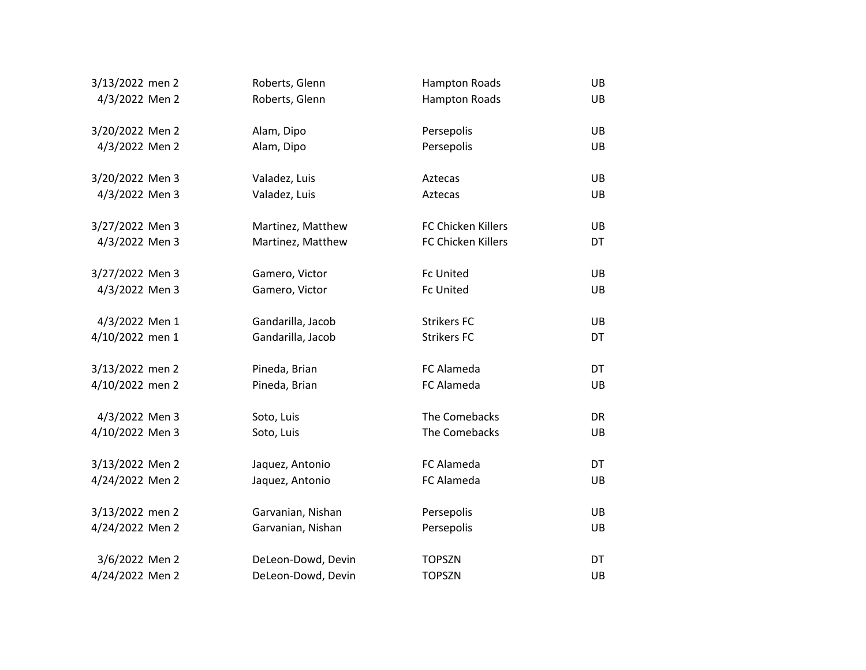| 3/13/2022 men 2 | Roberts, Glenn     | <b>Hampton Roads</b> | UB |
|-----------------|--------------------|----------------------|----|
| 4/3/2022 Men 2  | Roberts, Glenn     | <b>Hampton Roads</b> | UB |
|                 |                    |                      |    |
| 3/20/2022 Men 2 | Alam, Dipo         | Persepolis           | UB |
| 4/3/2022 Men 2  | Alam, Dipo         | Persepolis           | UB |
|                 |                    |                      |    |
| 3/20/2022 Men 3 | Valadez, Luis      | Aztecas              | UB |
| 4/3/2022 Men 3  | Valadez, Luis      | Aztecas              | UB |
|                 |                    |                      |    |
| 3/27/2022 Men 3 | Martinez, Matthew  | FC Chicken Killers   | UB |
| 4/3/2022 Men 3  | Martinez, Matthew  | FC Chicken Killers   | DT |
|                 |                    |                      |    |
| 3/27/2022 Men 3 | Gamero, Victor     | <b>Fc United</b>     | UB |
| 4/3/2022 Men 3  | Gamero, Victor     | <b>Fc United</b>     | UB |
|                 |                    |                      |    |
| 4/3/2022 Men 1  | Gandarilla, Jacob  | <b>Strikers FC</b>   | UB |
| 4/10/2022 men 1 | Gandarilla, Jacob  | <b>Strikers FC</b>   | DT |
|                 |                    |                      |    |
| 3/13/2022 men 2 | Pineda, Brian      | FC Alameda           | DT |
| 4/10/2022 men 2 | Pineda, Brian      | FC Alameda           | UB |
|                 |                    |                      |    |
| 4/3/2022 Men 3  | Soto, Luis         | The Comebacks        | DR |
| 4/10/2022 Men 3 | Soto, Luis         | The Comebacks        | UB |
|                 |                    |                      |    |
| 3/13/2022 Men 2 | Jaquez, Antonio    | FC Alameda           | DT |
| 4/24/2022 Men 2 | Jaquez, Antonio    | FC Alameda           | UB |
|                 |                    |                      |    |
| 3/13/2022 men 2 | Garvanian, Nishan  | Persepolis           | UB |
| 4/24/2022 Men 2 | Garvanian, Nishan  | Persepolis           | UB |
|                 |                    |                      |    |
| 3/6/2022 Men 2  | DeLeon-Dowd, Devin | <b>TOPSZN</b>        | DT |
| 4/24/2022 Men 2 | DeLeon-Dowd, Devin | <b>TOPSZN</b>        | UB |
|                 |                    |                      |    |